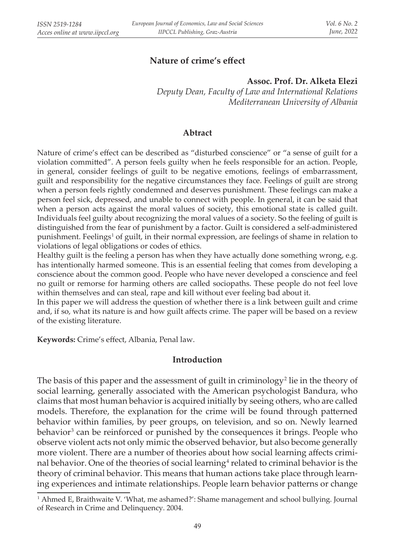# **Nature of crime's effect**

#### **Assoc. Prof. Dr. Alketa Elezi**

*Deputy Dean, Faculty of Law and International Relations Mediterranean University of Albania*

### **Abtract**

Nature of crime's effect can be described as "disturbed conscience" or "a sense of guilt for a violation committed". A person feels guilty when he feels responsible for an action. People, in general, consider feelings of guilt to be negative emotions, feelings of embarrassment, guilt and responsibility for the negative circumstances they face. Feelings of guilt are strong when a person feels rightly condemned and deserves punishment. These feelings can make a person feel sick, depressed, and unable to connect with people. In general, it can be said that when a person acts against the moral values of society, this emotional state is called guilt. Individuals feel guilty about recognizing the moral values of a society. So the feeling of guilt is distinguished from the fear of punishment by a factor. Guilt is considered a self-administered punishment. Feelings<sup>1</sup> of guilt, in their normal expression, are feelings of shame in relation to violations of legal obligations or codes of ethics.

Healthy guilt is the feeling a person has when they have actually done something wrong, e.g. has intentionally harmed someone. This is an essential feeling that comes from developing a conscience about the common good. People who have never developed a conscience and feel no guilt or remorse for harming others are called sociopaths. These people do not feel love within themselves and can steal, rape and kill without ever feeling bad about it.

In this paper we will address the question of whether there is a link between guilt and crime and, if so, what its nature is and how guilt affects crime. The paper will be based on a review of the existing literature.

**Keywords:** Crime's effect, Albania, Penal law.

### **Introduction**

The basis of this paper and the assessment of guilt in criminology<sup>2</sup> lie in the theory of social learning, generally associated with the American psychologist Bandura, who claims that most human behavior is acquired initially by seeing others, who are called models. Therefore, the explanation for the crime will be found through patterned behavior within families, by peer groups, on television, and so on. Newly learned behavior<sup>3</sup> can be reinforced or punished by the consequences it brings. People who observe violent acts not only mimic the observed behavior, but also become generally more violent. There are a number of theories about how social learning affects criminal behavior. One of the theories of social learning<sup>4</sup> related to criminal behavior is the theory of criminal behavior. This means that human actions take place through learning experiences and intimate relationships. People learn behavior patterns or change

<sup>1</sup> Ahmed E, Braithwaite V. 'What, me ashamed?': Shame management and school bullying. Journal of Research in Crime and Delinquency. 2004.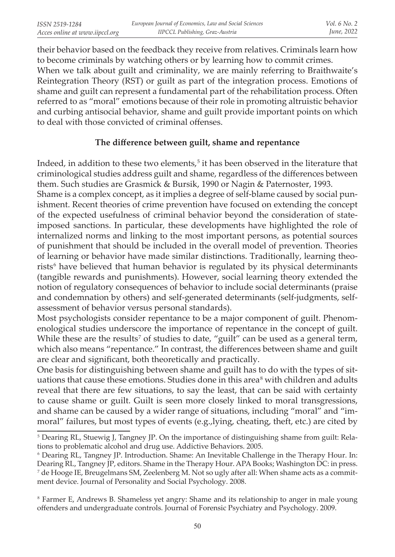their behavior based on the feedback they receive from relatives. Criminals learn how to become criminals by watching others or by learning how to commit crimes. When we talk about guilt and criminality, we are mainly referring to Braithwaite's Reintegration Theory (RST) or guilt as part of the integration process. Emotions of shame and guilt can represent a fundamental part of the rehabilitation process. Often referred to as "moral" emotions because of their role in promoting altruistic behavior and curbing antisocial behavior, shame and guilt provide important points on which to deal with those convicted of criminal offenses.

### **The difference between guilt, shame and repentance**

Indeed, in addition to these two elements, $5$  it has been observed in the literature that criminological studies address guilt and shame, regardless of the differences between them. Such studies are Grasmick & Bursik, 1990 or Nagin & Paternoster, 1993.

Shame is a complex concept, as it implies a degree of self-blame caused by social punishment. Recent theories of crime prevention have focused on extending the concept of the expected usefulness of criminal behavior beyond the consideration of stateimposed sanctions. In particular, these developments have highlighted the role of internalized norms and linking to the most important persons, as potential sources of punishment that should be included in the overall model of prevention. Theories of learning or behavior have made similar distinctions. Traditionally, learning theorists<sup>6</sup> have believed that human behavior is regulated by its physical determinants (tangible rewards and punishments). However, social learning theory extended the notion of regulatory consequences of behavior to include social determinants (praise and condemnation by others) and self-generated determinants (self-judgments, selfassessment of behavior versus personal standards).

Most psychologists consider repentance to be a major component of guilt. Phenomenological studies underscore the importance of repentance in the concept of guilt. While these are the results<sup>7</sup> of studies to date, "guilt" can be used as a general term, which also means "repentance." In contrast, the differences between shame and guilt are clear and significant, both theoretically and practically.

One basis for distinguishing between shame and guilt has to do with the types of situations that cause these emotions. Studies done in this area $\delta$  with children and adults reveal that there are few situations, to say the least, that can be said with certainty to cause shame or guilt. Guilt is seen more closely linked to moral transgressions, and shame can be caused by a wider range of situations, including "moral" and "immoral" failures, but most types of events (e.g.,lying, cheating, theft, etc.) are cited by

<sup>5</sup> Dearing RL, Stuewig J, Tangney JP. On the importance of distinguishing shame from guilt: Relations to problematic alcohol and drug use. Addictive Behaviors. 2005.

<sup>6</sup> Dearing RL, Tangney JP. Introduction. Shame: An Inevitable Challenge in the Therapy Hour. In: Dearing RL, Tangney JP, editors. Shame in the Therapy Hour. APA Books; Washington DC: in press.  7 de Hooge IE, Breugelmans SM, Zeelenberg M. Not so ugly after all: When shame acts as a commitment device. Journal of Personality and Social Psychology. 2008.

<sup>8</sup> Farmer E, Andrews B. Shameless yet angry: Shame and its relationship to anger in male young offenders and undergraduate controls. Journal of Forensic Psychiatry and Psychology. 2009.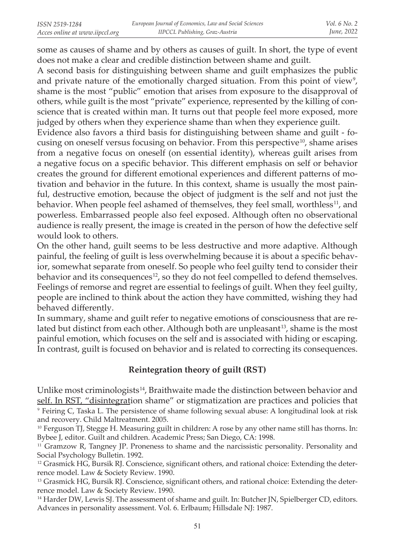some as causes of shame and by others as causes of guilt. In short, the type of event does not make a clear and credible distinction between shame and guilt.

A second basis for distinguishing between shame and guilt emphasizes the public and private nature of the emotionally charged situation. From this point of view $\frac{9}{2}$ , shame is the most "public" emotion that arises from exposure to the disapproval of others, while guilt is the most "private" experience, represented by the killing of conscience that is created within man. It turns out that people feel more exposed, more judged by others when they experience shame than when they experience guilt.

Evidence also favors a third basis for distinguishing between shame and guilt - focusing on oneself versus focusing on behavior. From this perspective<sup>10</sup>, shame arises from a negative focus on oneself (on essential identity), whereas guilt arises from a negative focus on a specific behavior. This different emphasis on self or behavior creates the ground for different emotional experiences and different patterns of motivation and behavior in the future. In this context, shame is usually the most painful, destructive emotion, because the object of judgment is the self and not just the behavior. When people feel ashamed of themselves, they feel small, worthless<sup>11</sup>, and powerless. Embarrassed people also feel exposed. Although often no observational audience is really present, the image is created in the person of how the defective self would look to others.

On the other hand, guilt seems to be less destructive and more adaptive. Although painful, the feeling of guilt is less overwhelming because it is about a specific behavior, somewhat separate from oneself. So people who feel guilty tend to consider their behavior and its consequences<sup>12</sup>, so they do not feel compelled to defend themselves. Feelings of remorse and regret are essential to feelings of guilt. When they feel guilty, people are inclined to think about the action they have committed, wishing they had behaved differently.

In summary, shame and guilt refer to negative emotions of consciousness that are related but distinct from each other. Although both are unpleasant $13$ , shame is the most painful emotion, which focuses on the self and is associated with hiding or escaping. In contrast, guilt is focused on behavior and is related to correcting its consequences.

# **Reintegration theory of guilt (RST)**

Unlike most criminologists<sup>14</sup>, Braithwaite made the distinction between behavior and self. In RST, "disintegration shame" or stigmatization are practices and policies that  9 Feiring C, Taska L. The persistence of shame following sexual abuse: A longitudinal look at risk and recovery. Child Maltreatment. 2005.

 $11$  Gramzow R, Tangney JP. Proneness to shame and the narcissistic personality. Personality and Social Psychology Bulletin. 1992.

 $12$  Grasmick HG, Bursik RJ. Conscience, significant others, and rational choice: Extending the deterrence model. Law & Society Review. 1990.

<sup>13</sup> Grasmick HG, Bursik RJ. Conscience, significant others, and rational choice: Extending the deterrence model. Law & Society Review. 1990.

<sup>14</sup> Harder DW, Lewis SJ. The assessment of shame and guilt. In: Butcher JN, Spielberger CD, editors. Advances in personality assessment. Vol. 6. Erlbaum; Hillsdale NJ: 1987.

<sup>&</sup>lt;sup>10</sup> Ferguson TJ, Stegge H. Measuring guilt in children: A rose by any other name still has thorns. In: Bybee J, editor. Guilt and children. Academic Press; San Diego, CA: 1998.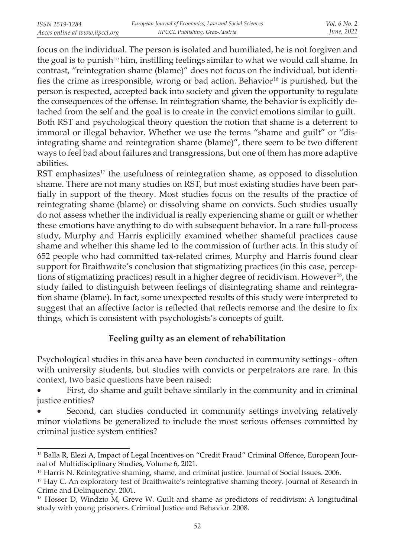focus on the individual. The person is isolated and humiliated, he is not forgiven and the goal is to punish<sup>15</sup> him, instilling feelings similar to what we would call shame. In contrast, "reintegration shame (blame)" does not focus on the individual, but identifies the crime as irresponsible, wrong or bad action. Behavior<sup>16</sup> is punished, but the person is respected, accepted back into society and given the opportunity to regulate the consequences of the offense. In reintegration shame, the behavior is explicitly detached from the self and the goal is to create in the convict emotions similar to guilt. Both RST and psychological theory question the notion that shame is a deterrent to immoral or illegal behavior. Whether we use the terms "shame and guilt" or "disintegrating shame and reintegration shame (blame)", there seem to be two different ways to feel bad about failures and transgressions, but one of them has more adaptive abilities.

RST emphasizes<sup>17</sup> the usefulness of reintegration shame, as opposed to dissolution shame. There are not many studies on RST, but most existing studies have been partially in support of the theory. Most studies focus on the results of the practice of reintegrating shame (blame) or dissolving shame on convicts. Such studies usually do not assess whether the individual is really experiencing shame or guilt or whether these emotions have anything to do with subsequent behavior. In a rare full-process study, Murphy and Harris explicitly examined whether shameful practices cause shame and whether this shame led to the commission of further acts. In this study of 652 people who had committed tax-related crimes, Murphy and Harris found clear support for Braithwaite's conclusion that stigmatizing practices (in this case, perceptions of stigmatizing practices) result in a higher degree of recidivism. However<sup>18</sup>, the study failed to distinguish between feelings of disintegrating shame and reintegration shame (blame). In fact, some unexpected results of this study were interpreted to suggest that an affective factor is reflected that reflects remorse and the desire to fix things, which is consistent with psychologists's concepts of guilt.

### **Feeling guilty as an element of rehabilitation**

Psychological studies in this area have been conducted in community settings - often with university students, but studies with convicts or perpetrators are rare. In this context, two basic questions have been raised:

First, do shame and guilt behave similarly in the community and in criminal justice entities?

Second, can studies conducted in community settings involving relatively minor violations be generalized to include the most serious offenses committed by criminal justice system entities?

<sup>&</sup>lt;sup>15</sup> Balla R, Elezi A, Impact of Legal Incentives on "Credit Fraud" Criminal Offence, European Journal of Multidisciplinary Studies, Volume 6, 2021.

<sup>&</sup>lt;sup>16</sup> Harris N. Reintegrative shaming, shame, and criminal justice. Journal of Social Issues. 2006.

 $17$  Hay C. An exploratory test of Braithwaite's reintegrative shaming theory. Journal of Research in Crime and Delinquency. 2001.

<sup>&</sup>lt;sup>18</sup> Hosser D, Windzio M, Greve W. Guilt and shame as predictors of recidivism: A longitudinal study with young prisoners. Criminal Justice and Behavior. 2008.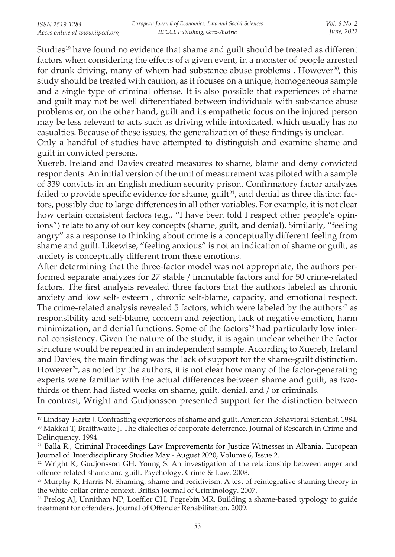Studies<sup>19</sup> have found no evidence that shame and guilt should be treated as different factors when considering the effects of a given event, in a monster of people arrested for drunk driving, many of whom had substance abuse problems . However<sup>20</sup>, this study should be treated with caution, as it focuses on a unique, homogeneous sample and a single type of criminal offense. It is also possible that experiences of shame and guilt may not be well differentiated between individuals with substance abuse problems or, on the other hand, guilt and its empathetic focus on the injured person may be less relevant to acts such as driving while intoxicated, which usually has no casualties. Because of these issues, the generalization of these findings is unclear.

Only a handful of studies have attempted to distinguish and examine shame and guilt in convicted persons.

Xuereb, Ireland and Davies created measures to shame, blame and deny convicted respondents. An initial version of the unit of measurement was piloted with a sample of 339 convicts in an English medium security prison. Confirmatory factor analyzes failed to provide specific evidence for shame, guilt<sup>21</sup>, and denial as three distinct factors, possibly due to large differences in all other variables. For example, it is not clear how certain consistent factors (e.g., "I have been told I respect other people's opinions") relate to any of our key concepts (shame, guilt, and denial). Similarly, "feeling angry" as a response to thinking about crime is a conceptually different feeling from shame and guilt. Likewise, "feeling anxious" is not an indication of shame or guilt, as anxiety is conceptually different from these emotions.

After determining that the three-factor model was not appropriate, the authors performed separate analyzes for 27 stable / immutable factors and for 50 crime-related factors. The first analysis revealed three factors that the authors labeled as chronic anxiety and low self- esteem , chronic self-blame, capacity, and emotional respect. The crime-related analysis revealed 5 factors, which were labeled by the authors<sup>22</sup> as responsibility and self-blame, concern and rejection, lack of negative emotion, harm minimization, and denial functions. Some of the factors<sup>23</sup> had particularly low internal consistency. Given the nature of the study, it is again unclear whether the factor structure would be repeated in an independent sample. According to Xuereb, Ireland and Davies, the main finding was the lack of support for the shame-guilt distinction. However<sup>24</sup>, as noted by the authors, it is not clear how many of the factor-generating experts were familiar with the actual differences between shame and guilt, as twothirds of them had listed works on shame, guilt, denial, and / or criminals.

In contrast, Wright and Gudjonsson presented support for the distinction between

<sup>19</sup> Lindsay-Hartz J. Contrasting experiences of shame and guilt. American Behavioral Scientist. 1984. <sup>20</sup> Makkai T, Braithwaite J. The dialectics of corporate deterrence. Journal of Research in Crime and Delinquency. 1994.

<sup>&</sup>lt;sup>21</sup> Balla R., Criminal Proceedings Law Improvements for Justice Witnesses in Albania. European Journal of Interdisciplinary Studies May - August 2020, Volume 6, Issue 2.

 $22$  Wright K, Gudjonsson GH, Young S. An investigation of the relationship between anger and offence-related shame and guilt. Psychology, Crime & Law. 2008.

<sup>&</sup>lt;sup>23</sup> Murphy K, Harris N. Shaming, shame and recidivism: A test of reintegrative shaming theory in the white-collar crime context. British Journal of Criminology. 2007.

<sup>&</sup>lt;sup>24</sup> Prelog AJ, Unnithan NP, Loeffler CH, Pogrebin MR. Building a shame-based typology to guide treatment for offenders. Journal of Offender Rehabilitation. 2009.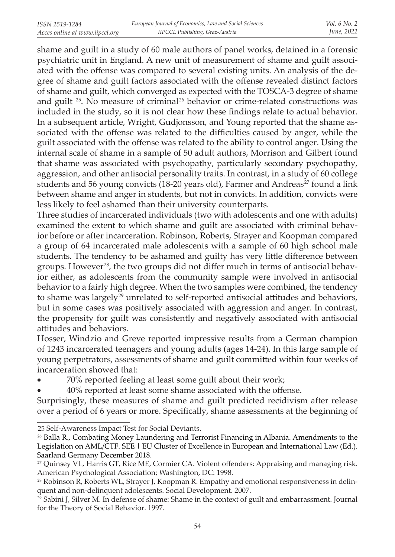shame and guilt in a study of 60 male authors of panel works, detained in a forensic psychiatric unit in England. A new unit of measurement of shame and guilt associated with the offense was compared to several existing units. An analysis of the degree of shame and guilt factors associated with the offense revealed distinct factors of shame and guilt, which converged as expected with the TOSCA-3 degree of shame and guilt <sup>25</sup>. No measure of criminal<sup>26</sup> behavior or crime-related constructions was included in the study, so it is not clear how these findings relate to actual behavior. In a subsequent article, Wright, Gudjonsson, and Young reported that the shame associated with the offense was related to the difficulties caused by anger, while the guilt associated with the offense was related to the ability to control anger. Using the internal scale of shame in a sample of 50 adult authors, Morrison and Gilbert found that shame was associated with psychopathy, particularly secondary psychopathy, aggression, and other antisocial personality traits. In contrast, in a study of 60 college students and 56 young convicts (18-20 years old), Farmer and Andreas<sup>27</sup> found a link between shame and anger in students, but not in convicts. In addition, convicts were less likely to feel ashamed than their university counterparts.

Three studies of incarcerated individuals (two with adolescents and one with adults) examined the extent to which shame and guilt are associated with criminal behavior before or after incarceration. Robinson, Roberts, Strayer and Koopman compared a group of 64 incarcerated male adolescents with a sample of 60 high school male students. The tendency to be ashamed and guilty has very little difference between groups. However<sup>28</sup>, the two groups did not differ much in terms of antisocial behavior either, as adolescents from the community sample were involved in antisocial behavior to a fairly high degree. When the two samples were combined, the tendency to shame was largely<sup>29</sup> unrelated to self-reported antisocial attitudes and behaviors, but in some cases was positively associated with aggression and anger. In contrast, the propensity for guilt was consistently and negatively associated with antisocial attitudes and behaviors.

Hosser, Windzio and Greve reported impressive results from a German champion of 1243 incarcerated teenagers and young adults (ages 14-24). In this large sample of young perpetrators, assessments of shame and guilt committed within four weeks of incarceration showed that:

70% reported feeling at least some guilt about their work;

40% reported at least some shame associated with the offense.

Surprisingly, these measures of shame and guilt predicted recidivism after release over a period of 6 years or more. Specifically, shame assessments at the beginning of

<sup>25</sup> Self-Awareness Impact Test for Social Deviants.

<sup>&</sup>lt;sup>26</sup> Balla R., Combating Money Laundering and Terrorist Financing in Albania. Amendments to the Legislation on AML/CTF. SEE | EU Cluster of Excellence in European and International Law (Ed.). Saarland Germany December 2018.

<sup>&</sup>lt;sup>27</sup> Quinsey VL, Harris GT, Rice ME, Cormier CA. Violent offenders: Appraising and managing risk. American Psychological Association; Washington, DC: 1998.

<sup>28</sup> Robinson R, Roberts WL, Strayer J, Koopman R. Empathy and emotional responsiveness in delinquent and non-delinquent adolescents. Social Development. 2007.

 $29$  Sabini J, Silver M. In defense of shame: Shame in the context of guilt and embarrassment. Journal for the Theory of Social Behavior. 1997.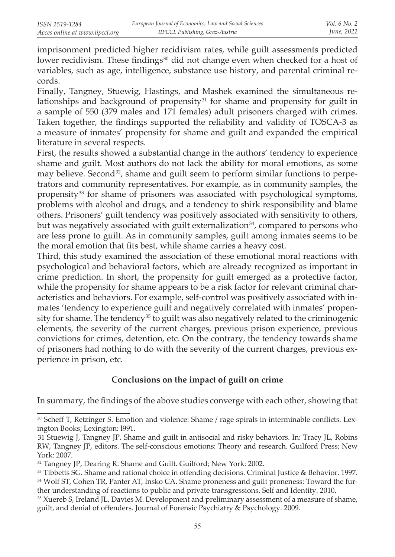imprisonment predicted higher recidivism rates, while guilt assessments predicted lower recidivism. These findings<sup>30</sup> did not change even when checked for a host of variables, such as age, intelligence, substance use history, and parental criminal records.

Finally, Tangney, Stuewig, Hastings, and Mashek examined the simultaneous relationships and background of propensity<sup>31</sup> for shame and propensity for guilt in a sample of 550 (379 males and 171 females) adult prisoners charged with crimes. Taken together, the findings supported the reliability and validity of TOSCA-3 as a measure of inmates' propensity for shame and guilt and expanded the empirical literature in several respects.

First, the results showed a substantial change in the authors' tendency to experience shame and guilt. Most authors do not lack the ability for moral emotions, as some may believe. Second<sup>32</sup>, shame and guilt seem to perform similar functions to perpetrators and community representatives. For example, as in community samples, the propensity<sup>33</sup> for shame of prisoners was associated with psychological symptoms, problems with alcohol and drugs, and a tendency to shirk responsibility and blame others. Prisoners' guilt tendency was positively associated with sensitivity to others, but was negatively associated with guilt externalization<sup>34</sup>, compared to persons who are less prone to guilt. As in community samples, guilt among inmates seems to be the moral emotion that fits best, while shame carries a heavy cost.

Third, this study examined the association of these emotional moral reactions with psychological and behavioral factors, which are already recognized as important in crime prediction. In short, the propensity for guilt emerged as a protective factor, while the propensity for shame appears to be a risk factor for relevant criminal characteristics and behaviors. For example, self-control was positively associated with inmates 'tendency to experience guilt and negatively correlated with inmates' propensity for shame. The tendency<sup>35</sup> to guilt was also negatively related to the criminogenic elements, the severity of the current charges, previous prison experience, previous convictions for crimes, detention, etc. On the contrary, the tendency towards shame of prisoners had nothing to do with the severity of the current charges, previous experience in prison, etc.

# **Conclusions on the impact of guilt on crime**

In summary, the findings of the above studies converge with each other, showing that

<sup>&</sup>lt;sup>30</sup> Scheff T, Retzinger S. Emotion and violence: Shame / rage spirals in interminable conflicts. Lexington Books; Lexington: l991.

<sup>31</sup> Stuewig J, Tangney JP. Shame and guilt in antisocial and risky behaviors. In: Tracy JL, Robins RW, Tangney JP, editors. The self-conscious emotions: Theory and research. Guilford Press; New York: 2007.

<sup>&</sup>lt;sup>32</sup> Tangney JP, Dearing R. Shame and Guilt. Guilford; New York: 2002.

<sup>&</sup>lt;sup>33</sup> Tibbetts SG. Shame and rational choice in offending decisions. Criminal Justice & Behavior. 1997.  34 Wolf ST, Cohen TR, Panter AT, Insko CA. Shame proneness and guilt proneness: Toward the further understanding of reactions to public and private transgressions. Self and Identity. 2010.

<sup>&</sup>lt;sup>35</sup> Xuereb S, Ireland JL, Davies M. Development and preliminary assessment of a measure of shame, guilt, and denial of offenders. Journal of Forensic Psychiatry & Psychology. 2009.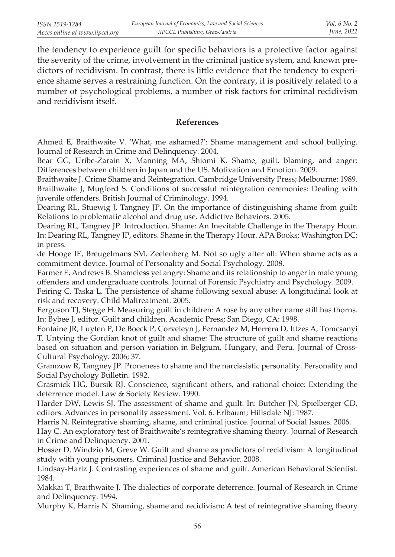the tendency to experience guilt for specific behaviors is a protective factor against the severity of the crime, involvement in the criminal justice system, and known predictors of recidivism. In contrast, there is little evidence that the tendency to experience shame serves a restraining function. On the contrary, it is positively related to a number of psychological problems, a number of risk factors for criminal recidivism and recidivism itself.

### **References**

Ahmed E, Braithwaite V. 'What, me ashamed?': Shame management and school bullying. Journal of Research in Crime and Delinquency. 2004.

Bear GG, Uribe-Zarain X, Manning MA, Shiomi K. Shame, guilt, blaming, and anger: Differences between children in Japan and the US. Motivation and Emotion. 2009.

Braithwaite J. Crime Shame and Reintegration. Cambridge University Press; Melbourne: 1989.

Braithwaite J, Mugford S. Conditions of successful reintegration ceremonies: Dealing with juvenile offenders. British Journal of Criminology. 1994.

Dearing RL, Stuewig J, Tangney JP. On the importance of distinguishing shame from guilt: Relations to problematic alcohol and drug use. Addictive Behaviors. 2005.

Dearing RL, Tangney JP. Introduction. Shame: An Inevitable Challenge in the Therapy Hour. In: Dearing RL, Tangney JP, editors. Shame in the Therapy Hour. APA Books; Washington DC: in press.

de Hooge IE, Breugelmans SM, Zeelenberg M. Not so ugly after all: When shame acts as a commitment device. Journal of Personality and Social Psychology. 2008.

Farmer E, Andrews B. Shameless yet angry: Shame and its relationship to anger in male young offenders and undergraduate controls. Journal of Forensic Psychiatry and Psychology. 2009.

Feiring C, Taska L. The persistence of shame following sexual abuse: A longitudinal look at risk and recovery. Child Maltreatment. 2005.

Ferguson TJ, Stegge H. Measuring guilt in children: A rose by any other name still has thorns. In: Bybee J, editor. Guilt and children. Academic Press; San Diego, CA: 1998.

Fontaine JR, Luyten P, De Boeck P, Corveleyn J, Fernandez M, Herrera D, Ittzes A, Tomcsanyi T. Untying the Gordian knot of guilt and shame: The structure of guilt and shame reactions based on situation and person variation in Belgium, Hungary, and Peru. Journal of Cross-Cultural Psychology. 2006; 37.

Gramzow R, Tangney JP. Proneness to shame and the narcissistic personality. Personality and Social Psychology Bulletin. 1992.

Grasmick HG, Bursik RJ. Conscience, significant others, and rational choice: Extending the deterrence model. Law & Society Review. 1990.

Harder DW, Lewis SJ. The assessment of shame and guilt. In: Butcher JN, Spielberger CD, editors. Advances in personality assessment. Vol. 6. Erlbaum; Hillsdale NJ: 1987.

Harris N. Reintegrative shaming, shame, and criminal justice. Journal of Social Issues. 2006.

Hay C. An exploratory test of Braithwaite's reintegrative shaming theory. Journal of Research in Crime and Delinquency. 2001.

Hosser D, Windzio M, Greve W. Guilt and shame as predictors of recidivism: A longitudinal study with young prisoners. Criminal Justice and Behavior. 2008.

Lindsay-Hartz J. Contrasting experiences of shame and guilt. American Behavioral Scientist. 1984.

Makkai T, Braithwaite J. The dialectics of corporate deterrence. Journal of Research in Crime and Delinquency. 1994.

Murphy K, Harris N. Shaming, shame and recidivism: A test of reintegrative shaming theory